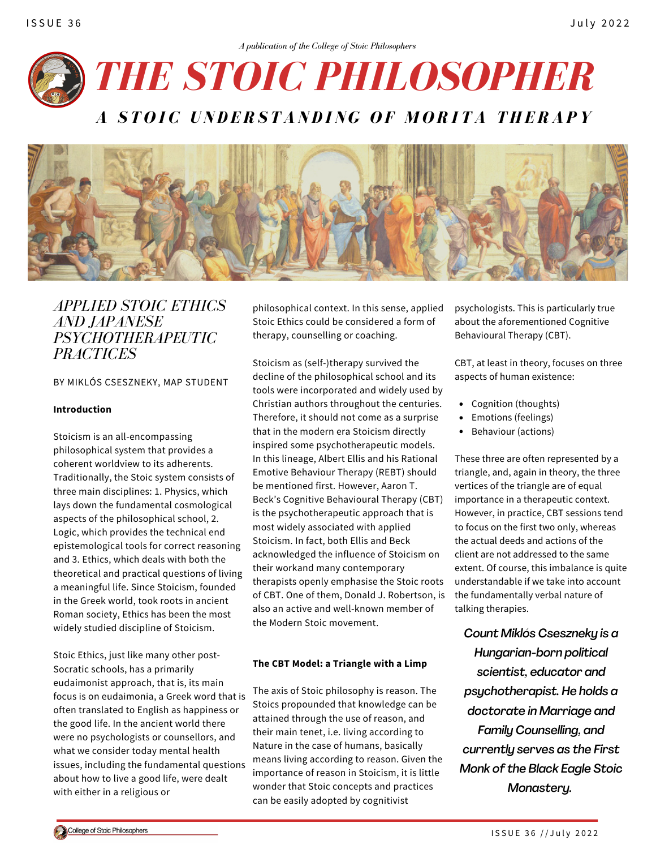



*APPLIED STOIC ETHICS AND JAPANESE PSYCHOTHERAPEUTIC PRACTICES*

BY MIKLÓS CSESZNEKY, MAP STUDENT

## **Introduction**

Stoicism is an all-encompassing philosophical system that provides a coherent worldview to its adherents. Traditionally, the Stoic system consists of three main disciplines: 1. Physics, which lays down the fundamental cosmological aspects of the philosophical school, 2. Logic, which provides the technical end epistemological tools for correct reasoning and 3. Ethics, which deals with both the theoretical and practical questions of living a meaningful life. Since Stoicism, founded in the Greek world, took roots in ancient Roman society, Ethics has been the most widely studied discipline of Stoicism.

Stoic Ethics, just like many other post-Socratic schools, has a primarily eudaimonist approach, that is, its main focus is on eudaimonia, a Greek word that is often translated to English as happiness or the good life. In the ancient world there were no psychologists or counsellors, and what we consider today mental health issues, including the fundamental questions about how to live a good life, were dealt with either in a religious or

philosophical context. In this sense, applied Stoic Ethics could be considered a form of therapy, counselling or coaching.

Stoicism as (self-)therapy survived the decline of the philosophical school and its tools were incorporated and widely used by Christian authors throughout the centuries. Therefore, it should not come as a surprise that in the modern era Stoicism directly inspired some psychotherapeutic models. In this lineage, Albert Ellis and his Rational Emotive Behaviour Therapy (REBT) should be mentioned first. However, Aaron T. Beck's Cognitive Behavioural Therapy (CBT) is the psychotherapeutic approach that is most widely associated with applied Stoicism. In fact, both Ellis and Beck acknowledged the influence of Stoicism on their workand many contemporary therapists openly emphasise the Stoic roots of CBT. One of them, Donald J. Robertson, is also an active and well-known member of the Modern Stoic movement.

## **The CBT Model: a Triangle with a Limp**

The axis of Stoic philosophy is reason. The Stoics propounded that knowledge can be attained through the use of reason, and their main tenet, i.e. living according to Nature in the case of humans, basically means living according to reason. Given the importance of reason in Stoicism, it is little wonder that Stoic concepts and practices can be easily adopted by cognitivist

psychologists. This is particularly true about the aforementioned Cognitive Behavioural Therapy (CBT).

CBT, at least in theory, focuses on three aspects of human existence:

- Cognition (thoughts)
- Emotions (feelings)
- Behaviour (actions)

These three are often represented by a triangle, and, again in theory, the three vertices of the triangle are of equal importance in a therapeutic context. However, in practice, CBT sessions tend to focus on the first two only, whereas the actual deeds and actions of the client are not addressed to the same extent. Of course, this imbalance is quite understandable if we take into account the fundamentally verbal nature of talking therapies.

*Count Miklós Cseszneky is a Hungarian-born political scientist, educator and psychotherapist. He holds a doctorate in Marriage and Family Counselling, and currently serves as the First Monk of the Black Eagle Stoic Monastery.*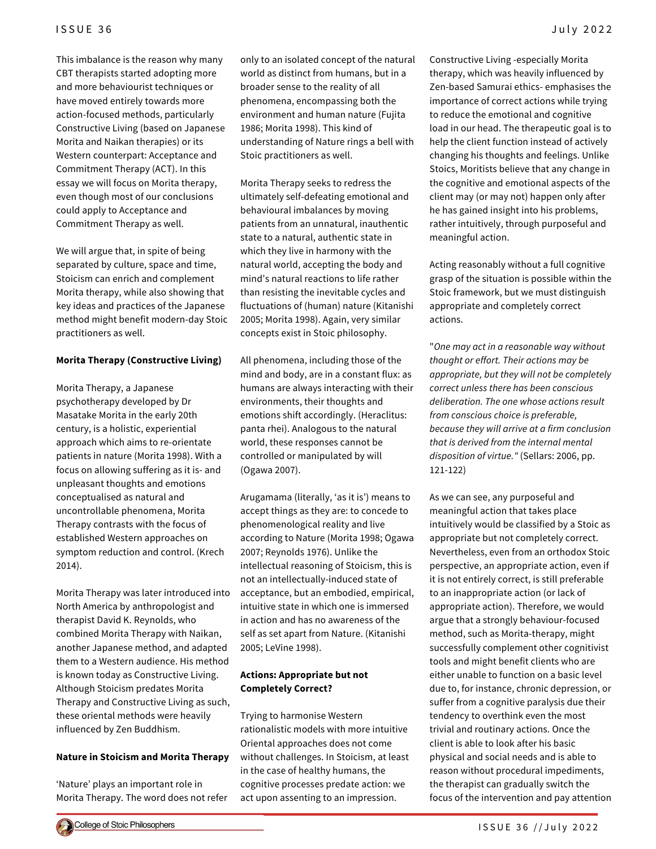This imbalance is the reason why many CBT therapists started adopting more and more behaviourist techniques or have moved entirely towards more action-focused methods, particularly Constructive Living (based on Japanese Morita and Naikan therapies) or its Western counterpart: Acceptance and Commitment Therapy (ACT). In this essay we will focus on Morita therapy, even though most of our conclusions could apply to Acceptance and Commitment Therapy as well.

We will argue that, in spite of being separated by culture, space and time, Stoicism can enrich and complement Morita therapy, while also showing that key ideas and practices of the Japanese method might benefit modern-day Stoic practitioners as well.

## **Morita Therapy (Constructive Living)**

Morita Therapy, a Japanese psychotherapy developed by Dr Masatake Morita in the early 20th century, is a holistic, experiential approach which aims to re-orientate patients in nature (Morita 1998). With a focus on allowing suffering as it is- and unpleasant thoughts and emotions conceptualised as natural and uncontrollable phenomena, Morita Therapy contrasts with the focus of established Western approaches on symptom reduction and control. (Krech 2014).

Morita Therapy was later introduced into North America by anthropologist and therapist David K. Reynolds, who combined Morita Therapy with Naikan, another Japanese method, and adapted them to a Western audience. His method is known today as Constructive Living. Although Stoicism predates Morita Therapy and Constructive Living as such, these oriental methods were heavily influenced by Zen Buddhism.

## **Nature in Stoicism and Morita Therapy**

'Nature' plays an important role in Morita Therapy. The word does not refer only to an isolated concept of the natural world as distinct from humans, but in a broader sense to the reality of all phenomena, encompassing both the environment and human nature (Fujita 1986; Morita 1998). This kind of understanding of Nature rings a bell with Stoic practitioners as well.

Morita Therapy seeks to redress the ultimately self-defeating emotional and behavioural imbalances by moving patients from an unnatural, inauthentic state to a natural, authentic state in which they live in harmony with the natural world, accepting the body and mind's natural reactions to life rather than resisting the inevitable cycles and fluctuations of (human) nature (Kitanishi 2005; Morita 1998). Again, very similar concepts exist in Stoic philosophy.

All phenomena, including those of the mind and body, are in a constant flux: as humans are always interacting with their environments, their thoughts and emotions shift accordingly. (Heraclitus: panta rhei). Analogous to the natural world, these responses cannot be controlled or manipulated by will (Ogawa 2007).

Arugamama (literally, 'as it is') means to accept things as they are: to concede to phenomenological reality and live according to Nature (Morita 1998; Ogawa 2007; Reynolds 1976). Unlike the intellectual reasoning of Stoicism, this is not an intellectually-induced state of acceptance, but an embodied, empirical, intuitive state in which one is immersed in action and has no awareness of the self as set apart from Nature. (Kitanishi 2005; LeVine 1998).

# **Actions: Appropriate but not Completely Correct?**

Trying to harmonise Western rationalistic models with more intuitive Oriental approaches does not come without challenges. In Stoicism, at least in the case of healthy humans, the cognitive processes predate action: we act upon assenting to an impression.

Constructive Living -especially Morita therapy, which was heavily influenced by Zen-based Samurai ethics- emphasises the importance of correct actions while trying to reduce the emotional and cognitive load in our head. The therapeutic goal is to help the client function instead of actively changing his thoughts and feelings. Unlike Stoics, Moritists believe that any change in the cognitive and emotional aspects of the client may (or may not) happen only after he has gained insight into his problems, rather intuitively, through purposeful and meaningful action.

Acting reasonably without a full cognitive grasp of the situation is possible within the Stoic framework, but we must distinguish appropriate and completely correct actions.

"*One may act in a reasonable way without thought or effort. Their actions may be appropriate, but they will not be completely correct unless there has been conscious deliberation. The one whose actions result from conscious choice is preferable, because they will arrive at a firm conclusion that is derived from the internal mental disposition of virtue."* (Sellars: 2006, pp. 121-122)

As we can see, any purposeful and meaningful action that takes place intuitively would be classified by a Stoic as appropriate but not completely correct. Nevertheless, even from an orthodox Stoic perspective, an appropriate action, even if it is not entirely correct, is still preferable to an inappropriate action (or lack of appropriate action). Therefore, we would argue that a strongly behaviour-focused method, such as Morita-therapy, might successfully complement other cognitivist tools and might benefit clients who are either unable to function on a basic level due to, for instance, chronic depression, or suffer from a cognitive paralysis due their tendency to overthink even the most trivial and routinary actions. Once the client is able to look after his basic physical and social needs and is able to reason without procedural impediments, the therapist can gradually switch the focus of the intervention and pay attention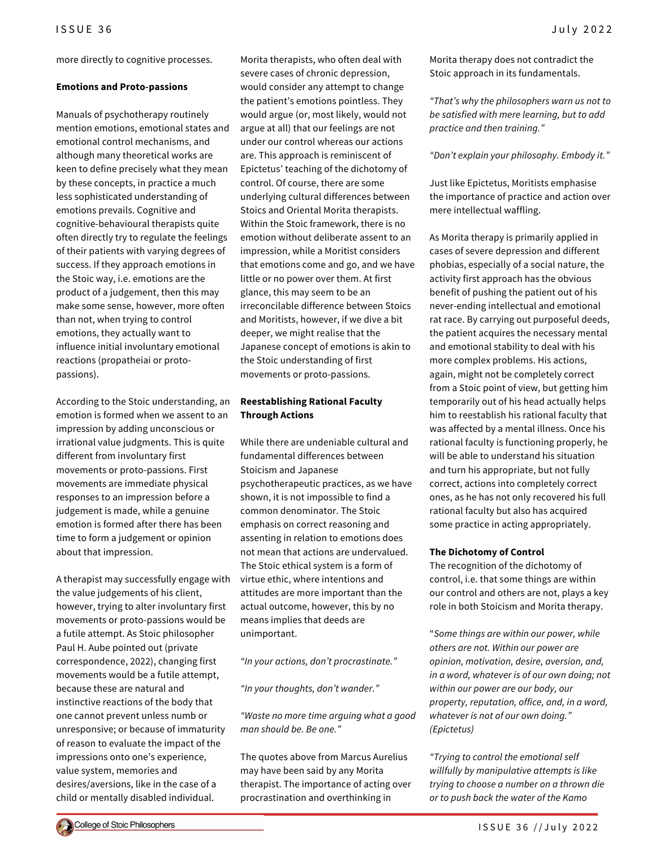more directly to cognitive processes.

#### **Emotions and Proto-passions**

Manuals of psychotherapy routinely mention emotions, emotional states and emotional control mechanisms, and although many theoretical works are keen to define precisely what they mean by these concepts, in practice a much less sophisticated understanding of emotions prevails. Cognitive and cognitive-behavioural therapists quite often directly try to regulate the feelings of their patients with varying degrees of success. If they approach emotions in the Stoic way, i.e. emotions are the product of a judgement, then this may make some sense, however, more often than not, when trying to control emotions, they actually want to influence initial involuntary emotional reactions (propatheiai or protopassions).

According to the Stoic understanding, an emotion is formed when we assent to an impression by adding unconscious or irrational value judgments. This is quite different from involuntary first movements or proto-passions. First movements are immediate physical responses to an impression before a judgement is made, while a genuine emotion is formed after there has been time to form a judgement or opinion about that impression.

A therapist may successfully engage with the value judgements of his client, however, trying to alter involuntary first movements or proto-passions would be a futile attempt. As Stoic philosopher Paul H. Aube pointed out (private correspondence, 2022), changing first movements would be a futile attempt, because these are natural and instinctive reactions of the body that one cannot prevent unless numb or unresponsive; or because of immaturity of reason to evaluate the impact of the impressions onto one's experience, value system, memories and desires/aversions, like in the case of a child or mentally disabled individual.

Morita therapists, who often deal with severe cases of chronic depression, would consider any attempt to change the patient's emotions pointless. They would argue (or, most likely, would not argue at all) that our feelings are not under our control whereas our actions are. This approach is reminiscent of Epictetus' teaching of the dichotomy of control. Of course, there are some underlying cultural differences between Stoics and Oriental Morita therapists. Within the Stoic framework, there is no emotion without deliberate assent to an impression, while a Moritist considers that emotions come and go, and we have little or no power over them. At first glance, this may seem to be an irreconcilable difference between Stoics and Moritists, however, if we dive a bit deeper, we might realise that the Japanese concept of emotions is akin to the Stoic understanding of first movements or proto-passions.

## **Reestablishing Rational Faculty Through Actions**

While there are undeniable cultural and fundamental differences between Stoicism and Japanese psychotherapeutic practices, as we have shown, it is not impossible to find a common denominator. The Stoic emphasis on correct reasoning and assenting in relation to emotions does not mean that actions are undervalued. The Stoic ethical system is a form of virtue ethic, where intentions and attitudes are more important than the actual outcome, however, this by no means implies that deeds are unimportant.

*"In your actions, don't procrastinate."*

*"In your thoughts, don't wander."*

*"Waste no more time arguing what a good man should be. Be one."*

The quotes above from Marcus Aurelius may have been said by any Morita therapist. The importance of acting over procrastination and overthinking in

ISSUE 36 July 2022  $\,$ 

Morita therapy does not contradict the Stoic approach in its fundamentals.

*"That's why the philosophers warn us not to be satisfied with mere learning, but to add practice and then training."*

*"Don't explain your philosophy. Embody it."*

Just like Epictetus, Moritists emphasise the importance of practice and action over mere intellectual waffling.

As Morita therapy is primarily applied in cases of severe depression and different phobias, especially of a social nature, the activity first approach has the obvious benefit of pushing the patient out of his never-ending intellectual and emotional rat race. By carrying out purposeful deeds, the patient acquires the necessary mental and emotional stability to deal with his more complex problems. His actions, again, might not be completely correct from a Stoic point of view, but getting him temporarily out of his head actually helps him to reestablish his rational faculty that was affected by a mental illness. Once his rational faculty is functioning properly, he will be able to understand his situation and turn his appropriate, but not fully correct, actions into completely correct ones, as he has not only recovered his full rational faculty but also has acquired some practice in acting appropriately.

### **The Dichotomy of Control**

The recognition of the dichotomy of control, i.e. that some things are within our control and others are not, plays a key role in both Stoicism and Morita therapy.

"*Some things are within our power, while others are not. Within our power are opinion, motivation, desire, aversion, and, in a word, whatever is of our own doing; not within our power are our body, our property, reputation, office, and, in a word, whatever is not of our own doing." (Epictetus)*

*"Trying to control the emotional self willfully by manipulative attempts is like trying to choose a number on a thrown die or to push back the water of the Kamo*